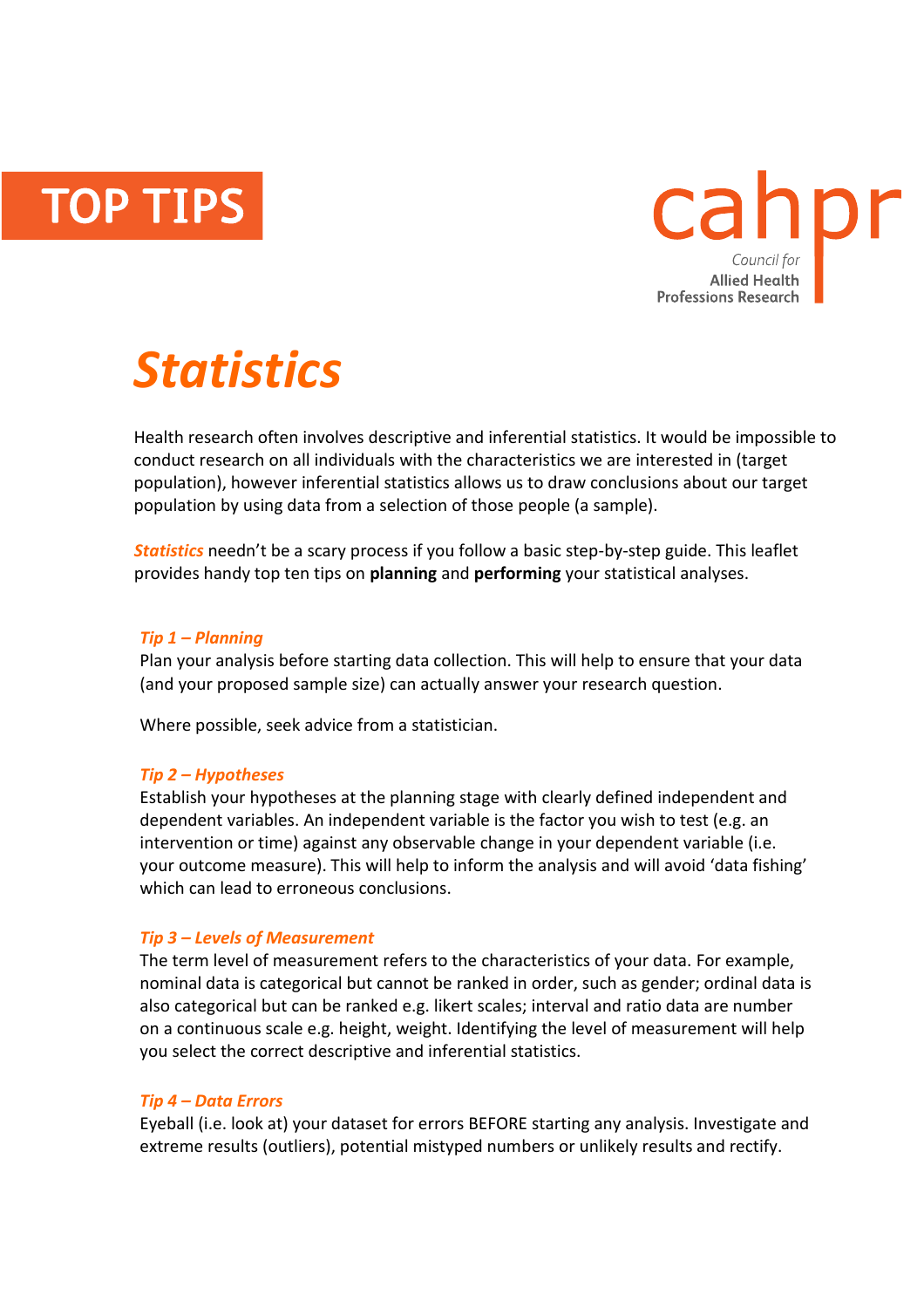**TOP TIPS** 



# *Statistics*

Health research often involves descriptive and inferential statistics. It would be impossible to conduct research on all individuals with the characteristics we are interested in (target population), however inferential statistics allows us to draw conclusions about our target population by using data from a selection of those people (a sample).

*Statistics* needn't be a scary process if you follow a basic step-by-step guide. This leaflet provides handy top ten tips on **planning** and **performing** your statistical analyses.

#### *Tip 1 – Planning*

Plan your analysis before starting data collection. This will help to ensure that your data (and your proposed sample size) can actually answer your research question.

Where possible, seek advice from a statistician.

#### *Tip 2 – Hypotheses*

Establish your hypotheses at the planning stage with clearly defined independent and dependent variables. An independent variable is the factor you wish to test (e.g. an intervention or time) against any observable change in your dependent variable (i.e. your outcome measure). This will help to inform the analysis and will avoid 'data fishing' which can lead to erroneous conclusions.

#### *Tip 3 – Levels of Measurement*

The term level of measurement refers to the characteristics of your data. For example, nominal data is categorical but cannot be ranked in order, such as gender; ordinal data is also categorical but can be ranked e.g. likert scales; interval and ratio data are number on a continuous scale e.g. height, weight. Identifying the level of measurement will help you select the correct descriptive and inferential statistics.

#### *Tip 4 – Data Errors*

Eyeball (i.e. look at) your dataset for errors BEFORE starting any analysis. Investigate and extreme results (outliers), potential mistyped numbers or unlikely results and rectify.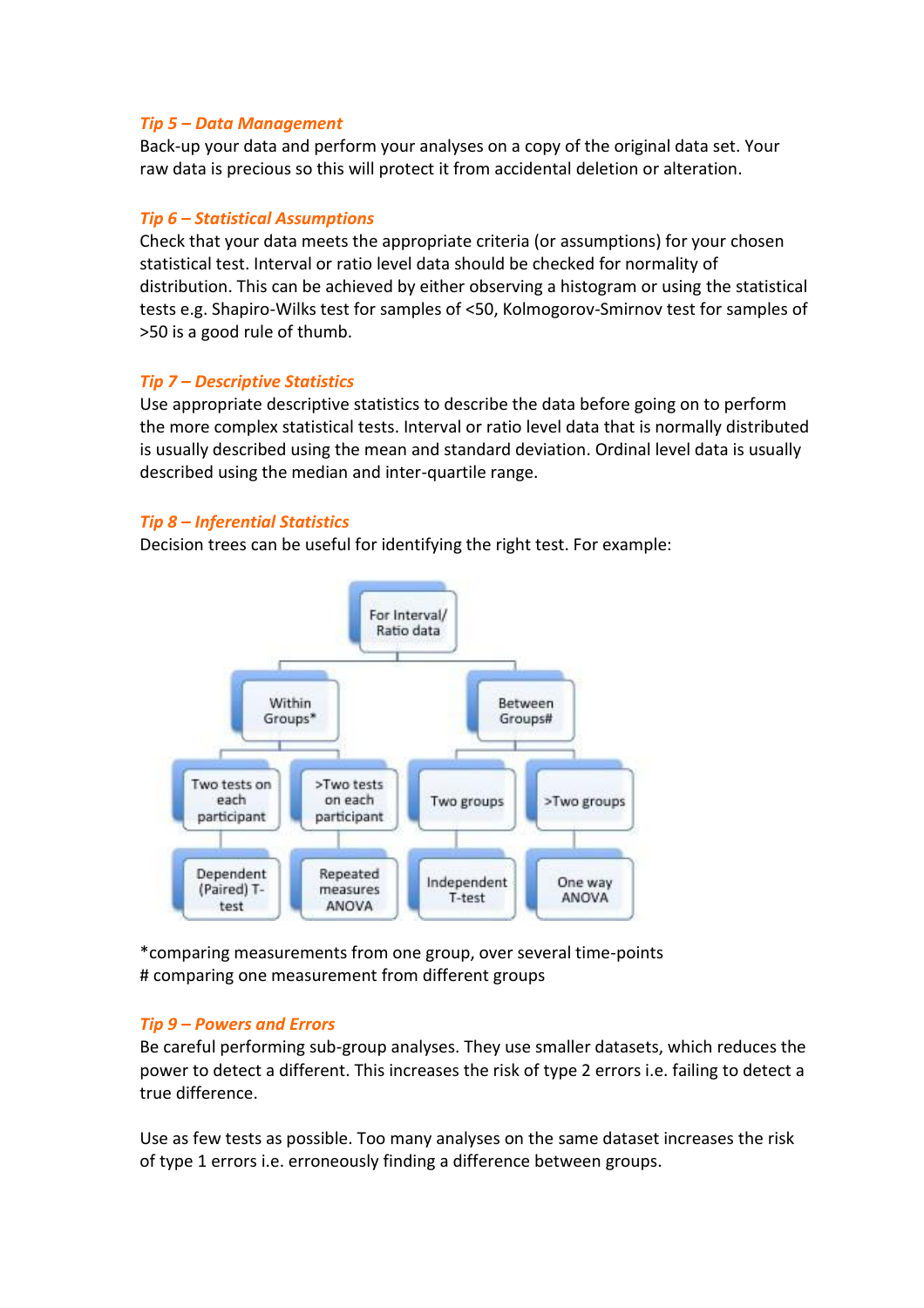#### *Tip 5 – Data Management*

Back-up your data and perform your analyses on a copy of the original data set. Your raw data is precious so this will protect it from accidental deletion or alteration.

#### *Tip 6 – Statistical Assumptions*

Check that your data meets the appropriate criteria (or assumptions) for your chosen statistical test. Interval or ratio level data should be checked for normality of distribution. This can be achieved by either observing a histogram or using the statistical tests e.g. Shapiro-Wilks test for samples of <50, Kolmogorov-Smirnov test for samples of >50 is a good rule of thumb.

### *Tip 7 – Descriptive Statistics*

Use appropriate descriptive statistics to describe the data before going on to perform the more complex statistical tests. Interval or ratio level data that is normally distributed is usually described using the mean and standard deviation. Ordinal level data is usually described using the median and inter-quartile range.

### *Tip 8 – Inferential Statistics*

Decision trees can be useful for identifying the right test. For example:



\*comparing measurements from one group, over several time-points # comparing one measurement from different groups

## *Tip 9 – Powers and Errors*

Be careful performing sub-group analyses. They use smaller datasets, which reduces the power to detect a different. This increases the risk of type 2 errors i.e. failing to detect a true difference.

Use as few tests as possible. Too many analyses on the same dataset increases the risk of type 1 errors i.e. erroneously finding a difference between groups.